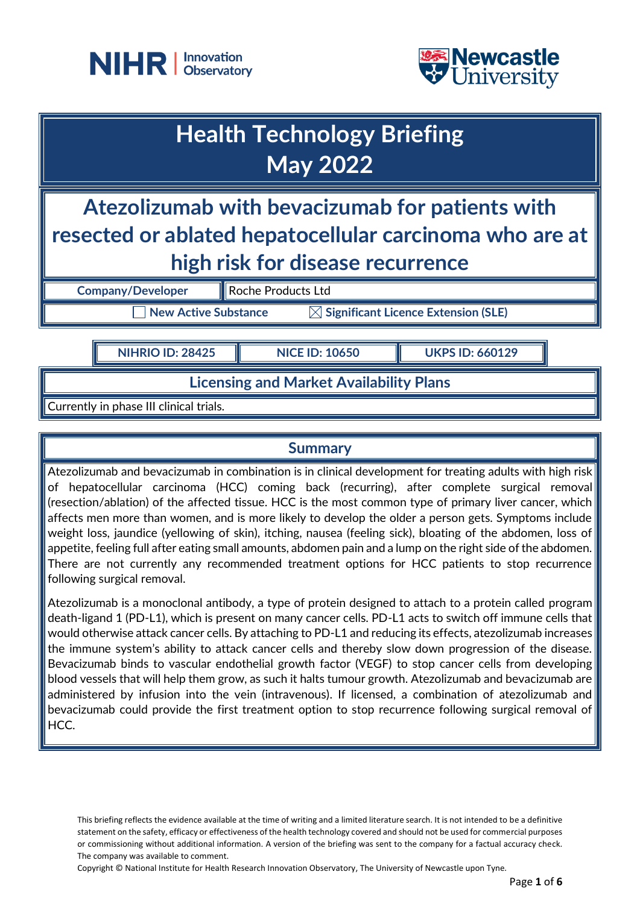



# **Health Technology Briefing May 2022**

## **Atezolizumab with bevacizumab for patients with resected or ablated hepatocellular carcinoma who are at high risk for disease recurrence**

**Company/Developer** Roche Products Ltd

**New Active Substance Substance Significant Licence Extension (SLE)** 

**NIHRIO ID: 28425 NICE ID: 10650 UKPS ID: 660129**

## **Licensing and Market Availability Plans**

Currently in phase III clinical trials.

### **Summary**

Atezolizumab and bevacizumab in combination is in clinical development for treating adults with high risk of hepatocellular carcinoma (HCC) coming back (recurring), after complete surgical removal (resection/ablation) of the affected tissue. HCC is the most common type of primary liver cancer, which affects men more than women, and is more likely to develop the older a person gets. Symptoms include weight loss, jaundice (yellowing of skin), itching, nausea (feeling sick), bloating of the abdomen, loss of appetite, feeling full after eating small amounts, abdomen pain and a lump on the right side of the abdomen. There are not currently any recommended treatment options for HCC patients to stop recurrence following surgical removal.

Atezolizumab is a monoclonal antibody, a type of protein designed to attach to a protein called program death-ligand 1 (PD-L1), which is present on many cancer cells. PD-L1 acts to switch off immune cells that would otherwise attack cancer cells. By attaching to PD-L1 and reducing its effects, atezolizumab increases the immune system's ability to attack cancer cells and thereby slow down progression of the disease. Bevacizumab binds to vascular endothelial growth factor (VEGF) to stop cancer cells from developing blood vessels that will help them grow, as such it halts tumour growth. Atezolizumab and bevacizumab are administered by infusion into the vein (intravenous). If licensed, a combination of atezolizumab and bevacizumab could provide the first treatment option to stop recurrence following surgical removal of HCC.

This briefing reflects the evidence available at the time of writing and a limited literature search. It is not intended to be a definitive statement on the safety, efficacy or effectiveness of the health technology covered and should not be used for commercial purposes or commissioning without additional information. A version of the briefing was sent to the company for a factual accuracy check. The company was available to comment.

Copyright © National Institute for Health Research Innovation Observatory, The University of Newcastle upon Tyne.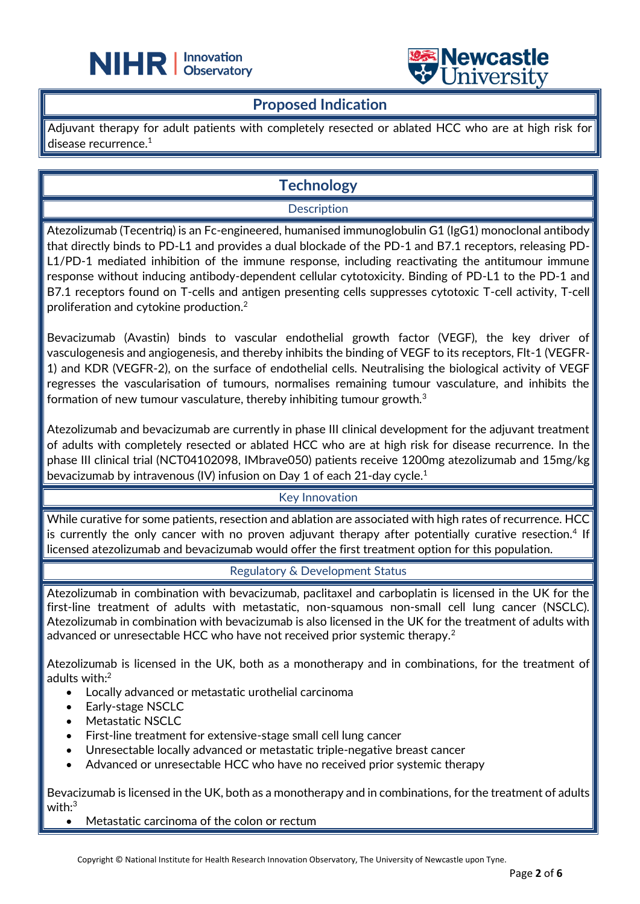



#### **Proposed Indication**

֦

Adjuvant therapy for adult patients with completely resected or ablated HCC who are at high risk for disease recurrence.<sup>1</sup>

## **Technology**

#### **Description**

Atezolizumab (Tecentriq) is an Fc-engineered, humanised immunoglobulin G1 (IgG1) monoclonal antibody that directly binds to PD-L1 and provides a dual blockade of the PD-1 and B7.1 receptors, releasing PD-L1/PD-1 mediated inhibition of the immune response, including reactivating the antitumour immune response without inducing antibody-dependent cellular cytotoxicity. Binding of PD-L1 to the PD-1 and B7.1 receptors found on T-cells and antigen presenting cells suppresses cytotoxic T-cell activity, T-cell proliferation and cytokine production. 2

Bevacizumab (Avastin) binds to vascular endothelial growth factor (VEGF), the key driver of vasculogenesis and angiogenesis, and thereby inhibits the binding of VEGF to its receptors, Flt-1 (VEGFR-1) and KDR (VEGFR-2), on the surface of endothelial cells. Neutralising the biological activity of VEGF regresses the vascularisation of tumours, normalises remaining tumour vasculature, and inhibits the formation of new tumour vasculature, thereby inhibiting tumour growth.<sup>3</sup>

Atezolizumab and bevacizumab are currently in phase III clinical development for the adjuvant treatment of adults with completely resected or ablated HCC who are at high risk for disease recurrence. In the phase III clinical trial (NCT04102098, IMbrave050) patients receive 1200mg atezolizumab and 15mg/kg bevacizumab by intravenous (IV) infusion on Day 1 of each 21-day cycle.<sup>1</sup>

#### Key Innovation

While curative for some patients, resection and ablation are associated with high rates of recurrence. HCC is currently the only cancer with no proven adjuvant therapy after potentially curative resection.<sup>4</sup> If licensed atezolizumab and bevacizumab would offer the first treatment option for this population.

#### Regulatory & Development Status

Atezolizumab in combination with bevacizumab, paclitaxel and carboplatin is licensed in the UK for the first-line treatment of adults with metastatic, non-squamous non-small cell lung cancer (NSCLC). Atezolizumab in combination with bevacizumab is also licensed in the UK for the treatment of adults with advanced or unresectable HCC who have not received prior systemic therapy.<sup>2</sup>

Atezolizumab is licensed in the UK, both as a monotherapy and in combinations, for the treatment of adults with: 2

- Locally advanced or metastatic urothelial carcinoma
- Early-stage NSCLC
- Metastatic NSCLC
- First-line treatment for extensive-stage small cell lung cancer
- Unresectable locally advanced or metastatic triple-negative breast cancer
- Advanced or unresectable HCC who have no received prior systemic therapy

Bevacizumab is licensed in the UK, both as a monotherapy and in combinations, for the treatment of adults with: 3

Metastatic carcinoma of the colon or rectum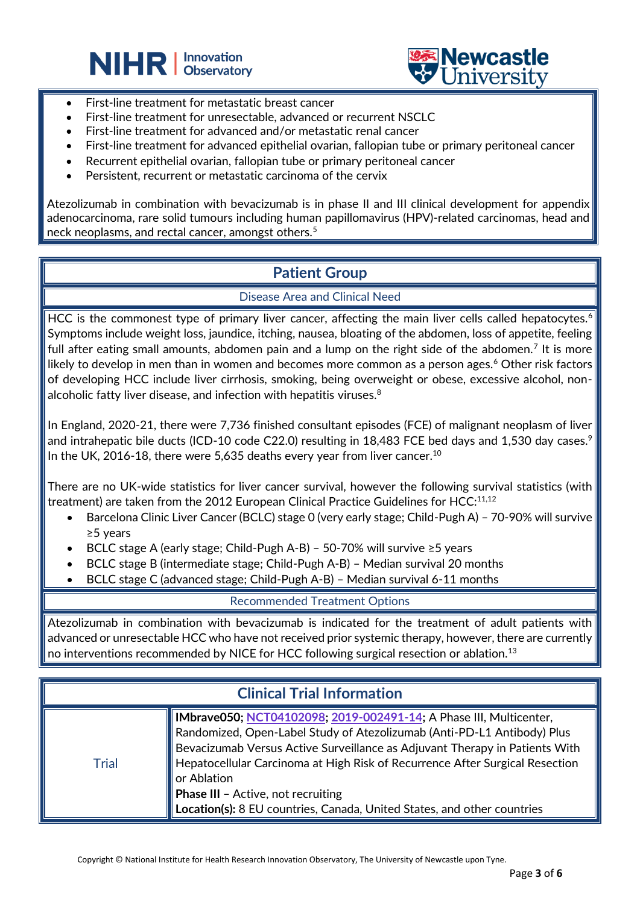



- First-line treatment for metastatic breast cancer
- First-line treatment for unresectable, advanced or recurrent NSCLC

֦

- First-line treatment for advanced and/or metastatic renal cancer
- First-line treatment for advanced epithelial ovarian, fallopian tube or primary peritoneal cancer
- Recurrent epithelial ovarian, fallopian tube or primary peritoneal cancer
- Persistent, recurrent or metastatic carcinoma of the cervix

Atezolizumab in combination with bevacizumab is in phase II and III clinical development for appendix adenocarcinoma, rare solid tumours including human papillomavirus (HPV)-related carcinomas, head and neck neoplasms, and rectal cancer, amongst others.<sup>5</sup>

## **Patient Group**

#### Disease Area and Clinical Need

HCC is the commonest type of primary liver cancer, affecting the main liver cells called hepatocytes.<sup>6</sup> Symptoms include weight loss, jaundice, itching, nausea, bloating of the abdomen, loss of appetite, feeling full after eating small amounts, abdomen pain and a lump on the right side of the abdomen.<sup>7</sup> It is more likely to develop in men than in women and becomes more common as a person ages. $6$  Other risk factors of developing HCC include liver cirrhosis, smoking, being overweight or obese, excessive alcohol, nonalcoholic fatty liver disease, and infection with hepatitis viruses.<sup>8</sup>

In England, 2020-21, there were 7,736 finished consultant episodes (FCE) of malignant neoplasm of liver and intrahepatic bile ducts (ICD-10 code C22.0) resulting in 18,483 FCE bed days and 1,530 day cases.<sup>9</sup> In the UK, 2016-18, there were 5,635 deaths every year from liver cancer.<sup>10</sup>

There are no UK-wide statistics for liver cancer survival, however the following survival statistics (with treatment) are taken from the 2012 European Clinical Practice Guidelines for HCC:<sup>11,12</sup>

- Barcelona Clinic Liver Cancer (BCLC) stage 0 (very early stage; Child-Pugh A) 70-90% will survive ≥5 years
- BCLC stage A (early stage; Child-Pugh A-B) 50-70% will survive ≥5 years
- BCLC stage B (intermediate stage; Child-Pugh A-B) Median survival 20 months
- BCLC stage C (advanced stage; Child-Pugh A-B) Median survival 6-11 months

Recommended Treatment Options

Atezolizumab in combination with bevacizumab is indicated for the treatment of adult patients with advanced or unresectable HCC who have not received prior systemic therapy, however, there are currently no interventions recommended by NICE for HCC following surgical resection or ablation.<sup>13</sup>

| <b>Clinical Trial Information</b> |                                                                                                                                                                                                                                                                                                                                                                                                                                                            |
|-----------------------------------|------------------------------------------------------------------------------------------------------------------------------------------------------------------------------------------------------------------------------------------------------------------------------------------------------------------------------------------------------------------------------------------------------------------------------------------------------------|
| Trial                             | <b>IMbrave050; NCT04102098; 2019-002491-14; A Phase III, Multicenter,</b><br>Randomized, Open-Label Study of Atezolizumab (Anti-PD-L1 Antibody) Plus<br>Bevacizumab Versus Active Surveillance as Adjuvant Therapy in Patients With<br>Hepatocellular Carcinoma at High Risk of Recurrence After Surgical Resection<br>or Ablation<br><b>Phase III - Active, not recruiting</b><br>Location(s): 8 EU countries, Canada, United States, and other countries |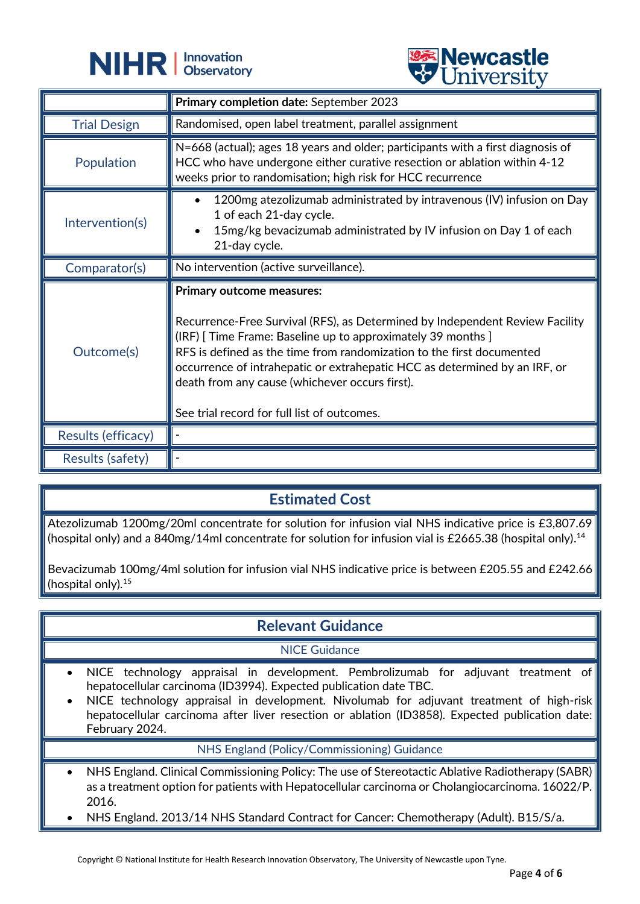



|                     | <b>CHITACTOTA</b>                                                                                                                                                                                                                                                                                                                                                                                                                 |
|---------------------|-----------------------------------------------------------------------------------------------------------------------------------------------------------------------------------------------------------------------------------------------------------------------------------------------------------------------------------------------------------------------------------------------------------------------------------|
|                     | Primary completion date: September 2023                                                                                                                                                                                                                                                                                                                                                                                           |
| <b>Trial Design</b> | Randomised, open label treatment, parallel assignment                                                                                                                                                                                                                                                                                                                                                                             |
| Population          | N=668 (actual); ages 18 years and older; participants with a first diagnosis of<br>HCC who have undergone either curative resection or ablation within 4-12<br>weeks prior to randomisation; high risk for HCC recurrence                                                                                                                                                                                                         |
| Intervention(s)     | 1200mg atezolizumab administrated by intravenous (IV) infusion on Day<br>1 of each 21-day cycle.<br>15mg/kg bevacizumab administrated by IV infusion on Day 1 of each<br>21-day cycle.                                                                                                                                                                                                                                            |
| Comparator(s)       | No intervention (active surveillance).                                                                                                                                                                                                                                                                                                                                                                                            |
|                     |                                                                                                                                                                                                                                                                                                                                                                                                                                   |
| Outcome(s)          | Primary outcome measures:<br>Recurrence-Free Survival (RFS), as Determined by Independent Review Facility<br>(IRF) [ Time Frame: Baseline up to approximately 39 months ]<br>RFS is defined as the time from randomization to the first documented<br>occurrence of intrahepatic or extrahepatic HCC as determined by an IRF, or<br>death from any cause (whichever occurs first).<br>See trial record for full list of outcomes. |
| Results (efficacy)  |                                                                                                                                                                                                                                                                                                                                                                                                                                   |

## **Estimated Cost**

Atezolizumab 1200mg/20ml concentrate for solution for infusion vial NHS indicative price is £3,807.69 (hospital only) and a 840mg/14ml concentrate for solution for infusion vial is £2665.38 (hospital only). $^{\rm 14}$ 

Bevacizumab 100mg/4ml solution for infusion vial NHS indicative price is between £205.55 and £242.66 (hospital only).<sup>15</sup>

## **Relevant Guidance**

#### NICE Guidance

- NICE technology appraisal in development. Pembrolizumab for adjuvant treatment of hepatocellular carcinoma (ID3994). Expected publication date TBC.
- NICE technology appraisal in development. Nivolumab for adjuvant treatment of high-risk hepatocellular carcinoma after liver resection or ablation (ID3858). Expected publication date: February 2024.

#### NHS England (Policy/Commissioning) Guidance

- NHS England. Clinical Commissioning Policy: The use of Stereotactic Ablative Radiotherapy (SABR) as a treatment option for patients with Hepatocellular carcinoma or Cholangiocarcinoma. 16022/P. 2016.
- NHS England. 2013/14 NHS Standard Contract for Cancer: Chemotherapy (Adult). B15/S/a.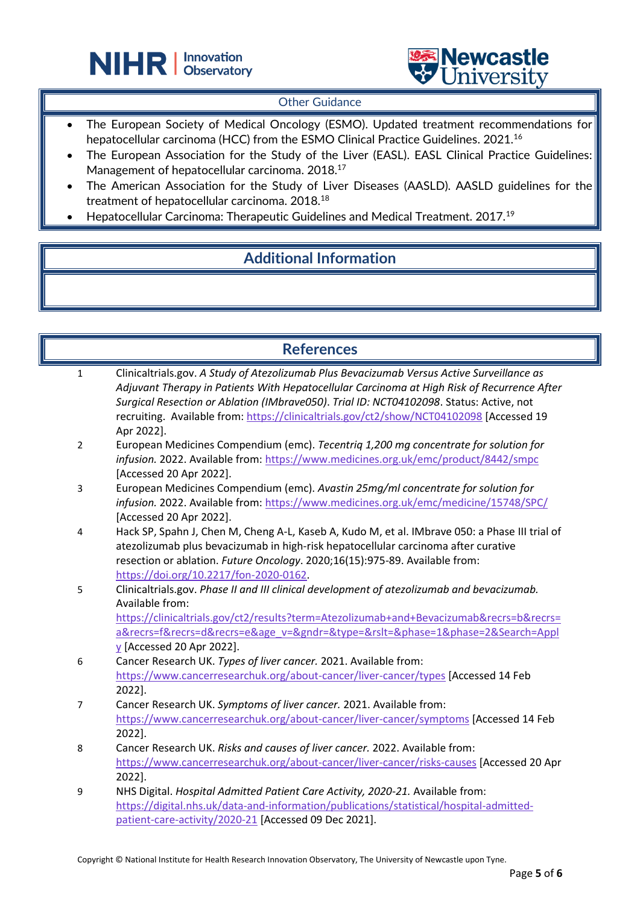



#### **Other Guidance**

- The European Society of Medical Oncology (ESMO). Updated treatment recommendations for hepatocellular carcinoma (HCC) from the ESMO Clinical Practice Guidelines. 2021.<sup>16</sup>
- The European Association for the Study of the Liver (EASL). EASL Clinical Practice Guidelines: Management of hepatocellular carcinoma. 2018.<sup>17</sup>
- The American Association for the Study of Liver Diseases (AASLD). AASLD guidelines for the treatment of hepatocellular carcinoma. 2018.<sup>18</sup>
- Hepatocellular Carcinoma: Therapeutic Guidelines and Medical Treatment. 2017.<sup>19</sup>

֦

## **Additional Information**

#### **References**

| $\mathbf{1}$   | Clinicaltrials.gov. A Study of Atezolizumab Plus Bevacizumab Versus Active Surveillance as     |
|----------------|------------------------------------------------------------------------------------------------|
|                | Adjuvant Therapy in Patients With Hepatocellular Carcinoma at High Risk of Recurrence After    |
|                | Surgical Resection or Ablation (IMbrave050). Trial ID: NCT04102098. Status: Active, not        |
|                | recruiting. Available from: https://clinicaltrials.gov/ct2/show/NCT04102098 [Accessed 19       |
|                | Apr 2022].                                                                                     |
| $\overline{2}$ | European Medicines Compendium (emc). Tecentriq 1,200 mg concentrate for solution for           |
|                | infusion. 2022. Available from: https://www.medicines.org.uk/emc/product/8442/smpc             |
|                | [Accessed 20 Apr 2022].                                                                        |
| 3              | European Medicines Compendium (emc). Avastin 25mg/ml concentrate for solution for              |
|                | infusion. 2022. Available from: https://www.medicines.org.uk/emc/medicine/15748/SPC/           |
|                | [Accessed 20 Apr 2022].                                                                        |
| 4              | Hack SP, Spahn J, Chen M, Cheng A-L, Kaseb A, Kudo M, et al. IMbrave 050: a Phase III trial of |
|                | atezolizumab plus bevacizumab in high-risk hepatocellular carcinoma after curative             |
|                | resection or ablation. Future Oncology. 2020;16(15):975-89. Available from:                    |
|                | https://doi.org/10.2217/fon-2020-0162.                                                         |
| 5              | Clinicaltrials.gov. Phase II and III clinical development of atezolizumab and bevacizumab.     |
|                | Available from:                                                                                |
|                | https://clinicaltrials.gov/ct2/results?term=Atezolizumab+and+Bevacizumab&recrs=b&recrs=        |
|                | a&recrs=f&recrs=d&recrs=e&age_v=&gndr=&type=&rslt=&phase=1&phase=2&Search=Appl                 |
|                | $\underline{v}$ [Accessed 20 Apr 2022].                                                        |
| 6              | Cancer Research UK. Types of liver cancer. 2021. Available from:                               |
|                | https://www.cancerresearchuk.org/about-cancer/liver-cancer/types [Accessed 14 Feb              |
|                | 2022].                                                                                         |
| $\overline{7}$ | Cancer Research UK. Symptoms of liver cancer. 2021. Available from:                            |
|                | https://www.cancerresearchuk.org/about-cancer/liver-cancer/symptoms [Accessed 14 Feb           |
|                | 2022].                                                                                         |
| 8              | Cancer Research UK. Risks and causes of liver cancer. 2022. Available from:                    |
|                | https://www.cancerresearchuk.org/about-cancer/liver-cancer/risks-causes [Accessed 20 Apr       |
|                | 2022].                                                                                         |
| 9              | NHS Digital. Hospital Admitted Patient Care Activity, 2020-21. Available from:                 |
|                | https://digital.nhs.uk/data-and-information/publications/statistical/hospital-admitted-        |
|                | patient-care-activity/2020-21 [Accessed 09 Dec 2021].                                          |